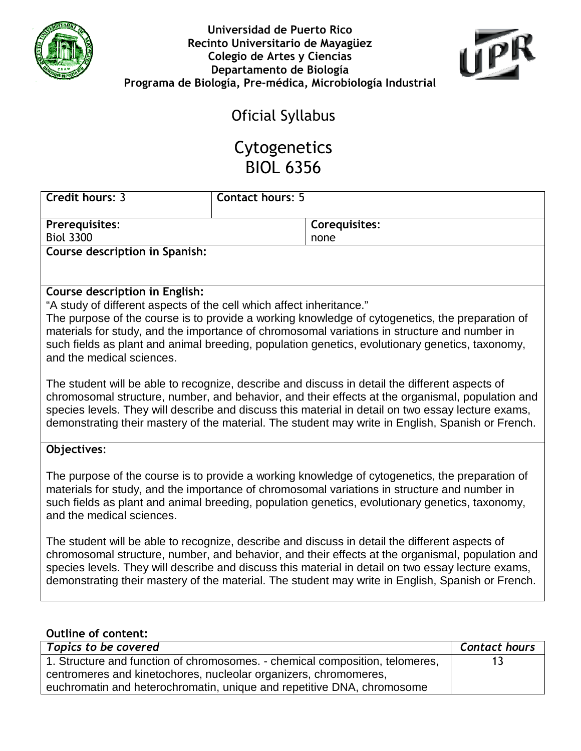



## Oficial Syllabus

## Cytogenetics BIOL 6356

| <b>Credit hours: 3</b>         | <b>Contact hours: 5</b> |               |
|--------------------------------|-------------------------|---------------|
|                                |                         |               |
| <b>Prerequisites:</b>          |                         | Corequisites: |
| <b>Biol 3300</b>               |                         | none          |
| Course description in Spanish: |                         |               |

## Course description in English:

"A study of different aspects of the cell which affect inheritance."

The purpose of the course is to provide a working knowledge of cytogenetics, the preparation of materials for study, and the importance of chromosomal variations in structure and number in such fields as plant and animal breeding, population genetics, evolutionary genetics, taxonomy, and the medical sciences.

The student will be able to recognize, describe and discuss in detail the different aspects of chromosomal structure, number, and behavior, and their effects at the organismal, population and species levels. They will describe and discuss this material in detail on two essay lecture exams, demonstrating their mastery of the material. The student may write in English, Spanish or French.

## Objectives:

The purpose of the course is to provide a working knowledge of cytogenetics, the preparation of materials for study, and the importance of chromosomal variations in structure and number in such fields as plant and animal breeding, population genetics, evolutionary genetics, taxonomy, and the medical sciences.

The student will be able to recognize, describe and discuss in detail the different aspects of chromosomal structure, number, and behavior, and their effects at the organismal, population and species levels. They will describe and discuss this material in detail on two essay lecture exams, demonstrating their mastery of the material. The student may write in English, Spanish or French.

| <b>Outline of content:</b>                                                   |                      |
|------------------------------------------------------------------------------|----------------------|
| Topics to be covered                                                         | <b>Contact hours</b> |
| 1. Structure and function of chromosomes. - chemical composition, telomeres, | 13                   |
| centromeres and kinetochores, nucleolar organizers, chromomeres,             |                      |
| euchromatin and heterochromatin, unique and repetitive DNA, chromosome       |                      |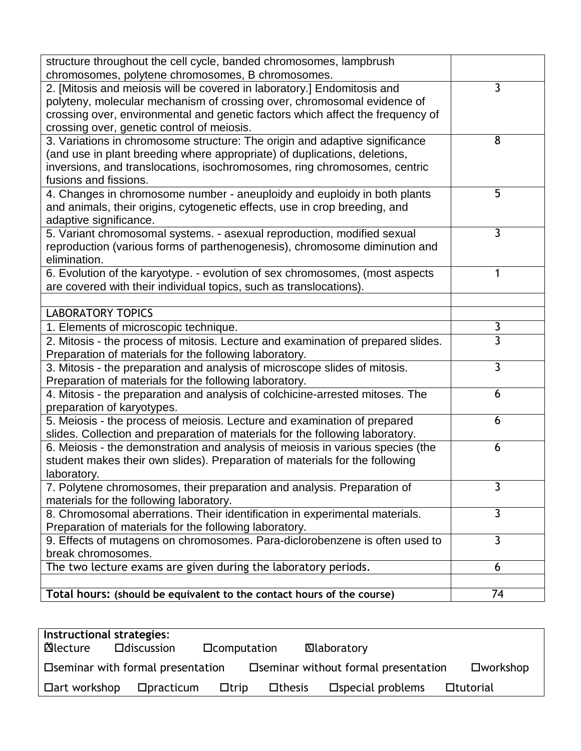| structure throughout the cell cycle, banded chromosomes, lampbrush                                                           |                |
|------------------------------------------------------------------------------------------------------------------------------|----------------|
| chromosomes, polytene chromosomes, B chromosomes.<br>2. [Mitosis and meiosis will be covered in laboratory.] Endomitosis and | 3              |
| polyteny, molecular mechanism of crossing over, chromosomal evidence of                                                      |                |
| crossing over, environmental and genetic factors which affect the frequency of                                               |                |
| crossing over, genetic control of meiosis.                                                                                   |                |
| 3. Variations in chromosome structure: The origin and adaptive significance                                                  | 8              |
| (and use in plant breeding where appropriate) of duplications, deletions,                                                    |                |
| inversions, and translocations, isochromosomes, ring chromosomes, centric                                                    |                |
| fusions and fissions.                                                                                                        |                |
| 4. Changes in chromosome number - aneuploidy and euploidy in both plants                                                     | 5              |
| and animals, their origins, cytogenetic effects, use in crop breeding, and                                                   |                |
| adaptive significance.                                                                                                       |                |
| 5. Variant chromosomal systems. - asexual reproduction, modified sexual                                                      | 3              |
| reproduction (various forms of parthenogenesis), chromosome diminution and                                                   |                |
| elimination.                                                                                                                 |                |
| 6. Evolution of the karyotype. - evolution of sex chromosomes, (most aspects                                                 | 1              |
| are covered with their individual topics, such as translocations).                                                           |                |
|                                                                                                                              |                |
| <b>LABORATORY TOPICS</b>                                                                                                     |                |
| 1. Elements of microscopic technique.                                                                                        | 3              |
| 2. Mitosis - the process of mitosis. Lecture and examination of prepared slides.                                             | $\overline{3}$ |
| Preparation of materials for the following laboratory.                                                                       |                |
| 3. Mitosis - the preparation and analysis of microscope slides of mitosis.                                                   | 3              |
| Preparation of materials for the following laboratory.                                                                       | 6              |
| 4. Mitosis - the preparation and analysis of colchicine-arrested mitoses. The<br>preparation of karyotypes.                  |                |
| 5. Meiosis - the process of meiosis. Lecture and examination of prepared                                                     | 6              |
| slides. Collection and preparation of materials for the following laboratory.                                                |                |
| 6. Meiosis - the demonstration and analysis of meiosis in various species (the                                               | 6              |
| student makes their own slides). Preparation of materials for the following                                                  |                |
| laboratory.                                                                                                                  |                |
| 7. Polytene chromosomes, their preparation and analysis. Preparation of                                                      | 3              |
| materials for the following laboratory.                                                                                      |                |
| 8. Chromosomal aberrations. Their identification in experimental materials.                                                  | $\overline{3}$ |
| Preparation of materials for the following laboratory.                                                                       |                |
| 9. Effects of mutagens on chromosomes. Para-diclorobenzene is often used to                                                  | $\mathbf{3}$   |
| break chromosomes.                                                                                                           |                |
| The two lecture exams are given during the laboratory periods.                                                               | 6              |
|                                                                                                                              |                |
| Total hours: (should be equivalent to the contact hours of the course)                                                       | 74             |

| Instructional strategies: |                                    |                      |               |                                       |                    |
|---------------------------|------------------------------------|----------------------|---------------|---------------------------------------|--------------------|
| ⊠lecture                  | $\Box$ discussion                  | <b>D</b> computation |               | ⊠laboratory                           |                    |
|                           | □ Seminar with formal presentation |                      |               | □ Seminar without formal presentation | $\square$ workshop |
| $\Box$ art workshop       | $D$ practicum                      | $\Box$ trip          | $\Box$ thesis | $\square$ special problems            | □tutorial          |